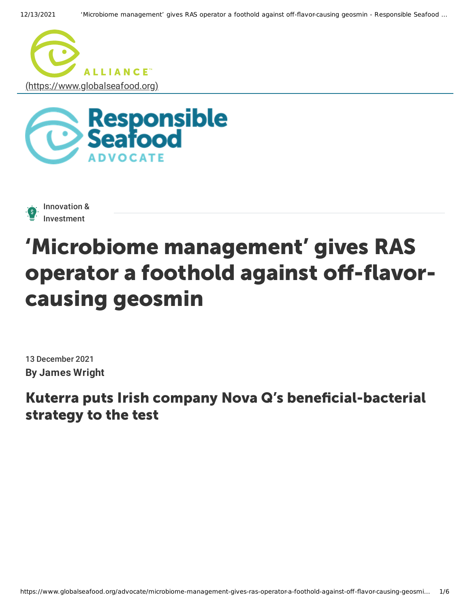





## 'Microbiome management' gives RAS operator a foothold against off-flavorcausing geosmin

13 December 2021 **By James Wright**

## Kuterra puts Irish company Nova Q's beneficial-bacterial strategy to the test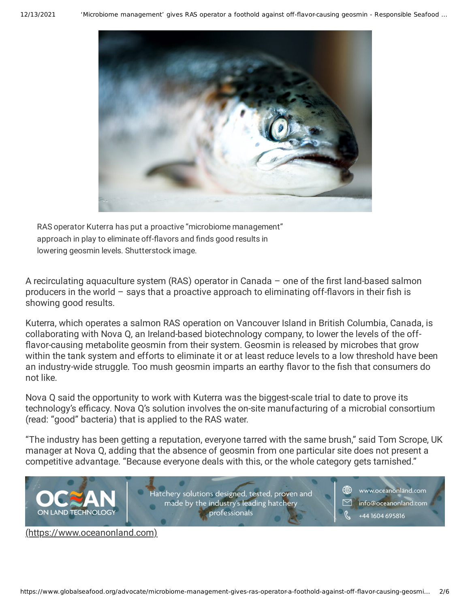

RAS operator Kuterra has put a proactive "microbiome management" approach in play to eliminate off-flavors and finds good results in lowering geosmin levels. Shutterstock image.

A recirculating aquaculture system (RAS) operator in Canada – one of the first land-based salmon producers in the world  $-$  says that a proactive approach to eliminating off-flavors in their fish is showing good results.

Kuterra, which operates a salmon RAS operation on Vancouver Island in British Columbia, Canada, is collaborating with Nova Q, an Ireland-based biotechnology company, to lower the levels of the off flavor-causing metabolite geosmin from their system. Geosmin is released by microbes that grow within the tank system and efforts to eliminate it or at least reduce levels to a low threshold have been an industry-wide struggle. Too mush geosmin imparts an earthy flavor to the fish that consumers do not like.

Nova Q said the opportunity to work with Kuterra was the biggest-scale trial to date to prove its technology's efficacy. Nova Q's solution involves the on-site manufacturing of a microbial consortium (read: "good" bacteria) that is applied to the RAS water.

"The industry has been getting a reputation, everyone tarred with the same brush," said Tom Scrope, UK manager at Nova Q, adding that the absence of geosmin from one particular site does not present a competitive advantage. "Because everyone deals with this, or the whole category gets tarnished."



[\(https://www.oceanonland.com\)](https://www.oceanonland.com/)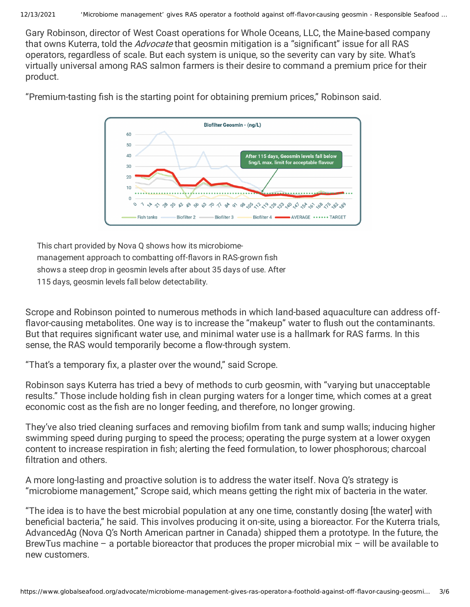Gary Robinson, director of West Coast operations for Whole Oceans, LLC, the Maine-based company that owns Kuterra, told the *Advocate* that geosmin mitigation is a "significant" issue for all RAS operators, regardless of scale. But each system is unique, so the severity can vary by site. What's virtually universal among RAS salmon farmers is their desire to command a premium price for their product.



"Premium-tasting fish is the starting point for obtaining premium prices," Robinson said.

This chart provided by Nova Q shows how its microbiomemanagement approach to combatting off-flavors in RAS-grown fish shows a steep drop in geosmin levels after about 35 days of use. After 115 days, geosmin levels fall below detectability.

Scrope and Robinson pointed to numerous methods in which land-based aquaculture can address off flavor-causing metabolites. One way is to increase the "makeup" water to flush out the contaminants. But that requires significant water use, and minimal water use is a hallmark for RAS farms. In this sense, the RAS would temporarily become a flow-through system.

"That's a temporary fix, a plaster over the wound," said Scrope.

Robinson says Kuterra has tried a bevy of methods to curb geosmin, with "varying but unacceptable results." Those include holding fish in clean purging waters for a longer time, which comes at a great economic cost as the fish are no longer feeding, and therefore, no longer growing.

They've also tried cleaning surfaces and removing biofilm from tank and sump walls; inducing higher swimming speed during purging to speed the process; operating the purge system at a lower oxygen content to increase respiration in fish; alerting the feed formulation, to lower phosphorous; charcoal filtration and others.

A more long-lasting and proactive solution is to address the water itself. Nova Q's strategy is "microbiome management," Scrope said, which means getting the right mix of bacteria in the water.

"The idea is to have the best microbial population at any one time, constantly dosing [the water] with beneficial bacteria," he said. This involves producing it on-site, using a bioreactor. For the Kuterra trials, AdvancedAg (Nova Q's North American partner in Canada) shipped them a prototype. In the future, the BrewTus machine – a portable bioreactor that produces the proper microbial mix – will be available to new customers.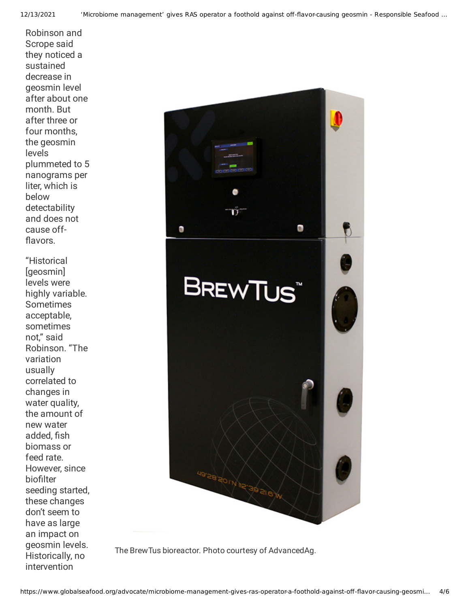Robinson and Scrope said they noticed a sustained decrease in geosmin level after about one month. But after three or four months, the geosmin levels plummeted to 5 nanograms per liter, which is below detectability and does not cause off flavors.

"Historical [geosmin] levels were highly variable. Sometimes acceptable, sometimes not," said Robinson. "The variation usually correlated to changes in water quality, the amount of new water added, fish biomass or feed rate. However, since biofilter seeding started, these changes don't seem to have as large an impact on geosmin levels. Historically, no intervention



The BrewTus bioreactor. Photo courtesy of AdvancedAg.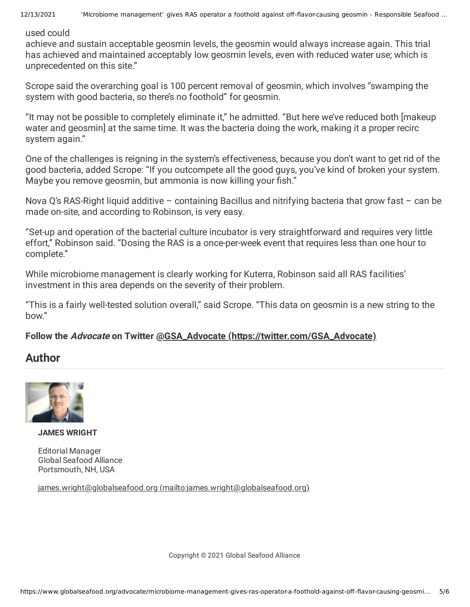used could

achieve and sustain acceptable geosmin levels, the geosmin would always increase again. This trial has achieved and maintained acceptably low geosmin levels, even with reduced water use; which is unprecedented on this site."

Scrope said the overarching goal is 100 percent removal of geosmin, which involves "swamping the system with good bacteria, so there's no foothold" for geosmin.

"It may not be possible to completely eliminate it," he admitted. "But here we've reduced both [makeup water and geosmin] at the same time. It was the bacteria doing the work, making it a proper recirc system again."

One of the challenges is reigning in the system's effectiveness, because you don't want to get rid of the good bacteria, added Scrope: "If you outcompete all the good guys, you've kind of broken your system. Maybe you remove geosmin, but ammonia is now killing your fish."

Nova Q's RAS-Right liquid additive – containing Bacillus and nitrifying bacteria that grow fast – can be made on-site, and according to Robinson, is very easy.

"Set-up and operation of the bacterial culture incubator is very straightforward and requires very little effort," Robinson said. "Dosing the RAS is a once-per-week event that requires less than one hour to complete."

While microbiome management is clearly working for Kuterra, Robinson said all RAS facilities' investment in this area depends on the severity of their problem.

"This is a fairly well-tested solution overall," said Scrope. "This data on geosmin is a new string to the bow."

## **Follow the Advocate on Twitter @GSA\_Advocate [\(https://twitter.com/GSA\\_Advocate\)](https://twitter.com/GSA_Advocate)**

## **Author**



**JAMES WRIGHT**

Editorial Manager Global Seafood Alliance Portsmouth, NH, USA

james.wright@globalseafood.org [\(mailto:james.wright@globalseafood.org\)](mailto:james.wright@globalseafood.org)

Copyright © 2021 Global Seafood Alliance